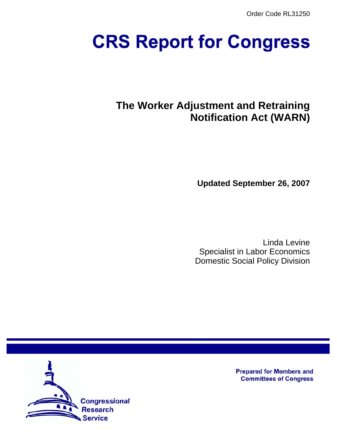Order Code RL31250

# **CRS Report for Congress**

# **The Worker Adjustment and Retraining Notification Act (WARN)**

**Updated September 26, 2007**

Linda Levine Specialist in Labor Economics Domestic Social Policy Division



**Prepared for Members and Committees of Congress**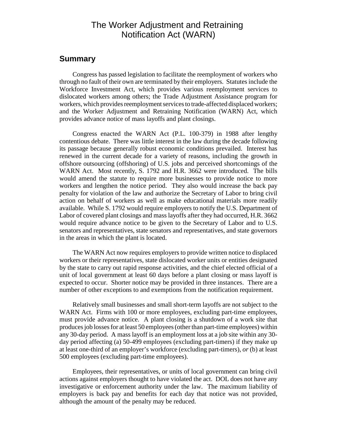## The Worker Adjustment and Retraining Notification Act (WARN)

#### **Summary**

Congress has passed legislation to facilitate the reemployment of workers who through no fault of their own are terminated by their employers. Statutes include the Workforce Investment Act, which provides various reemployment services to dislocated workers among others; the Trade Adjustment Assistance program for workers, which provides reemployment services to trade-affected displaced workers; and the Worker Adjustment and Retraining Notification (WARN) Act, which provides advance notice of mass layoffs and plant closings.

Congress enacted the WARN Act (P.L. 100-379) in 1988 after lengthy contentious debate. There was little interest in the law during the decade following its passage because generally robust economic conditions prevailed. Interest has renewed in the current decade for a variety of reasons, including the growth in offshore outsourcing (offshoring) of U.S. jobs and perceived shortcomings of the WARN Act. Most recently, S. 1792 and H.R. 3662 were introduced. The bills would amend the statute to require more businesses to provide notice to more workers and lengthen the notice period. They also would increase the back pay penalty for violation of the law and authorize the Secretary of Labor to bring civil action on behalf of workers as well as make educational materials more readily available. While S. 1792 would require employers to notify the U.S. Department of Labor of covered plant closings and mass layoffs after they had occurred, H.R. 3662 would require advance notice to be given to the Secretary of Labor and to U.S. senators and representatives, state senators and representatives, and state governors in the areas in which the plant is located.

The WARN Act now requires employers to provide written notice to displaced workers or their representatives, state dislocated worker units or entities designated by the state to carry out rapid response activities, and the chief elected official of a unit of local government at least 60 days before a plant closing or mass layoff is expected to occur. Shorter notice may be provided in three instances. There are a number of other exceptions to and exemptions from the notification requirement.

Relatively small businesses and small short-term layoffs are not subject to the WARN Act. Firms with 100 or more employees, excluding part-time employees, must provide advance notice. A plant closing is a shutdown of a work site that produces job losses for at least 50 employees (other than part-time employees) within any 30-day period. A mass layoff is an employment loss at a job site within any 30 day period affecting (a) 50-499 employees (excluding part-timers) if they make up at least one-third of an employer's workforce (excluding part-timers), *or* (b) at least 500 employees (excluding part-time employees).

Employees, their representatives, or units of local government can bring civil actions against employers thought to have violated the act. DOL does not have any investigative or enforcement authority under the law. The maximum liability of employers is back pay and benefits for each day that notice was not provided, although the amount of the penalty may be reduced.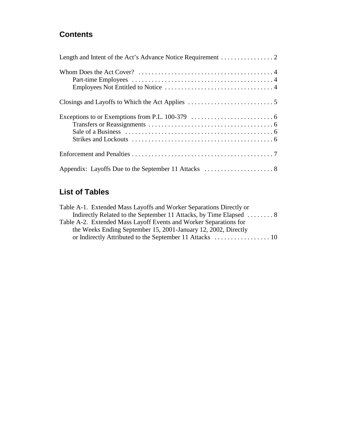## **Contents**

## **List of Tables**

| Table A-1. Extended Mass Layoffs and Worker Separations Directly or |
|---------------------------------------------------------------------|
| Indirectly Related to the September 11 Attacks, by Time Elapsed  8  |
| Table A-2. Extended Mass Layoff Events and Worker Separations for   |
| the Weeks Ending September 15, 2001-January 12, 2002, Directly      |
|                                                                     |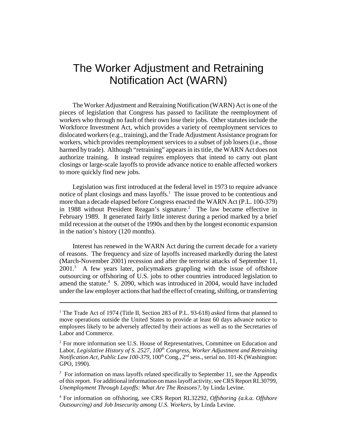## The Worker Adjustment and Retraining Notification Act (WARN)

The Worker Adjustment and Retraining Notification (WARN) Act is one of the pieces of legislation that Congress has passed to facilitate the reemployment of workers who through no fault of their own lose their jobs. Other statutes include the Workforce Investment Act, which provides a variety of reemployment services to dislocated workers (e.g., training), and the Trade Adjustment Assistance program for workers, which provides reemployment services to a subset of job losers (i.e., those harmed by trade). Although "retraining" appears in its title, the WARN Act does not authorize training. It instead requires employers that intend to carry out plant closings or large-scale layoffs to provide advance notice to enable affected workers to more quickly find new jobs.

Legislation was first introduced at the federal level in 1973 to require advance notice of plant closings and mass layoffs.<sup>1</sup> The issue proved to be contentious and more than a decade elapsed before Congress enacted the WARN Act (P.L. 100-379) in 1988 without President Reagan's signature.<sup>2</sup> The law became effective in February 1989. It generated fairly little interest during a period marked by a brief mild recession at the outset of the 1990s and then by the longest economic expansion in the nation's history (120 months).

Interest has renewed in the WARN Act during the current decade for a variety of reasons. The frequency and size of layoffs increased markedly during the latest (March-November 2001) recession and after the terrorist attacks of September 11, 2001.<sup>3</sup> A few years later, policymakers grappling with the issue of offshore outsourcing or offshoring of U.S. jobs to other countries introduced legislation to amend the statute.<sup>4</sup> S. 2090, which was introduced in 2004, would have included under the law employer actions that had the effect of creating, shifting, or transferring

<sup>&</sup>lt;sup>1</sup> The Trade Act of 1974 (Title II, Section 283 of P.L. 93-618) *asked* firms that planned to move operations outside the United States to provide at least 60 days advance notice to employees likely to be adversely affected by their actions as well as to the Secretaries of Labor and Commerce.

<sup>&</sup>lt;sup>2</sup> For more information see U.S. House of Representatives, Committee on Education and Labor, *Legislative History of S. 2527, 100<sup>th</sup> Congress, Worker Adjustment and Retraining Notification Act, Public Law 100-379*, 100<sup>th</sup> Cong., 2<sup>nd</sup> sess., serial no. 101-K (Washington: GPO, 1990).

<sup>&</sup>lt;sup>3</sup> For information on mass layoffs related specifically to September 11, see the Appendix of this report. For additional information on mass layoff activity, see CRS Report RL30799, *Unemployment Through Layoffs: What Are The Reasons?*, by Linda Levine.

<sup>4</sup> For information on offshoring, see CRS Report RL32292, *Offshoring (a.k.a. Offshore Outsourcing) and Job Insecurity among U.S. Workers*, by Linda Levine.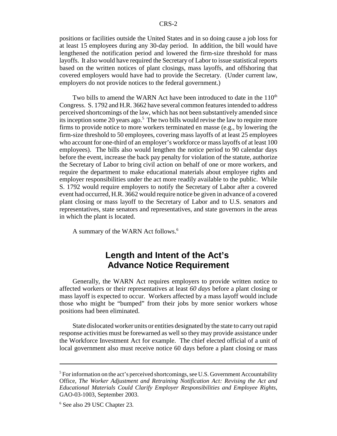positions or facilities outside the United States and in so doing cause a job loss for at least 15 employees during any 30-day period. In addition, the bill would have lengthened the notification period and lowered the firm-size threshold for mass layoffs. It also would have required the Secretary of Labor to issue statistical reports based on the written notices of plant closings, mass layoffs, and offshoring that covered employers would have had to provide the Secretary. (Under current law, employers do not provide notices to the federal government.)

Two bills to amend the WARN Act have been introduced to date in the  $110<sup>th</sup>$ Congress. S. 1792 and H.R. 3662 have several common features intended to address perceived shortcomings of the law, which has not been substantively amended since its inception some 20 years ago.<sup>5</sup> The two bills would revise the law to require more firms to provide notice to more workers terminated en masse (e.g., by lowering the firm-size threshold to 50 employees, covering mass layoffs of at least 25 employees who account for one-third of an employer's workforce or mass layoffs of at least 100 employees). The bills also would lengthen the notice period to 90 calendar days before the event, increase the back pay penalty for violation of the statute, authorize the Secretary of Labor to bring civil action on behalf of one or more workers, and require the department to make educational materials about employee rights and employer responsibilities under the act more readily available to the public. While S. 1792 would require employers to notify the Secretary of Labor after a covered event had occurred, H.R. 3662 would require notice be given in advance of a covered plant closing or mass layoff to the Secretary of Labor and to U.S. senators and representatives, state senators and representatives, and state governors in the areas in which the plant is located.

A summary of the WARN Act follows.6

## **Length and Intent of the Act's Advance Notice Requirement**

Generally, the WARN Act requires employers to provide written notice to affected workers or their representatives at least *60 days* before a plant closing or mass layoff is expected to occur. Workers affected by a mass layoff would include those who might be "bumped" from their jobs by more senior workers whose positions had been eliminated.

State dislocated worker units or entities designated by the state to carry out rapid response activities must be forewarned as well so they may provide assistance under the Workforce Investment Act for example. The chief elected official of a unit of local government also must receive notice 60 days before a plant closing or mass

<sup>&</sup>lt;sup>5</sup> For information on the act's perceived shortcomings, see U.S. Government Accountability Office, *The Worker Adjustment and Retraining Notification Act: Revising the Act and Educational Materials Could Clarify Employer Responsibilities and Employee Rights*, GAO-03-1003, September 2003.

<sup>6</sup> See also 29 USC Chapter 23.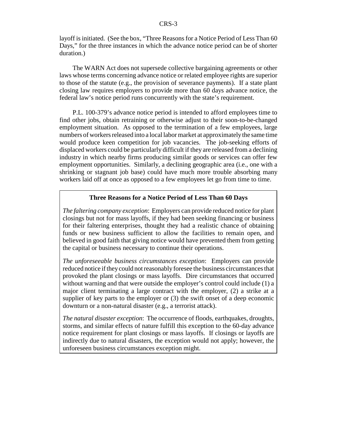layoff is initiated. (See the box, "Three Reasons for a Notice Period of Less Than 60 Days," for the three instances in which the advance notice period can be of shorter duration.)

The WARN Act does not supersede collective bargaining agreements or other laws whose terms concerning advance notice or related employee rights are superior to those of the statute (e.g., the provision of severance payments). If a state plant closing law requires employers to provide more than 60 days advance notice, the federal law's notice period runs concurrently with the state's requirement.

P.L. 100-379's advance notice period is intended to afford employees time to find other jobs, obtain retraining or otherwise adjust to their soon-to-be-changed employment situation. As opposed to the termination of a few employees, large numbers of workers released into a local labor market at approximately the same time would produce keen competition for job vacancies. The job-seeking efforts of displaced workers could be particularly difficult if they are released from a declining industry in which nearby firms producing similar goods or services can offer few employment opportunities. Similarly, a declining geographic area (i.e., one with a shrinking or stagnant job base) could have much more trouble absorbing many workers laid off at once as opposed to a few employees let go from time to time.

#### **Three Reasons for a Notice Period of Less Than 60 Days**

*The faltering company exception*: Employers can provide reduced notice for plant closings but not for mass layoffs, if they had been seeking financing or business for their faltering enterprises, thought they had a realistic chance of obtaining funds or new business sufficient to allow the facilities to remain open, and believed in good faith that giving notice would have prevented them from getting the capital or business necessary to continue their operations.

*The unforeseeable business circumstances exception*: Employers can provide reduced notice if they could not reasonably foresee the business circumstances that provoked the plant closings or mass layoffs. Dire circumstances that occurred without warning and that were outside the employer's control could include (1) a major client terminating a large contract with the employer, (2) a strike at a supplier of key parts to the employer or (3) the swift onset of a deep economic downturn or a non-natural disaster (e.g., a terrorist attack).

*The natural disaster exception*: The occurrence of floods, earthquakes, droughts, storms, and similar effects of nature fulfill this exception to the 60-day advance notice requirement for plant closings or mass layoffs. If closings or layoffs are indirectly due to natural disasters, the exception would not apply; however, the unforeseen business circumstances exception might.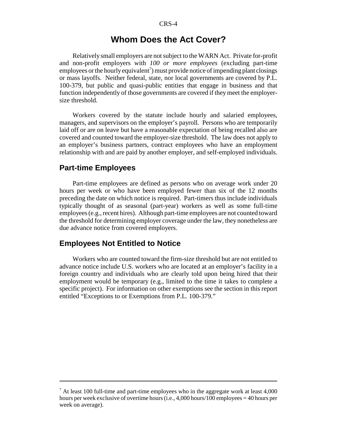## **Whom Does the Act Cover?**

Relatively small employers are not subject to the WARN Act. Private for-profit and non-profit employers with *100 or more employees* (excluding part-time employees or the hourly equivalent<sup>7</sup>) must provide notice of impending plant closings or mass layoffs. Neither federal, state, nor local governments are covered by P.L. 100-379, but public and quasi-public entities that engage in business and that function independently of those governments are covered if they meet the employersize threshold.

Workers covered by the statute include hourly and salaried employees, managers, and supervisors on the employer's payroll. Persons who are temporarily laid off or are on leave but have a reasonable expectation of being recalled also are covered and counted toward the employer-size threshold. The law does not apply to an employer's business partners, contract employees who have an employment relationship with and are paid by another employer, and self-employed individuals.

### **Part-time Employees**

Part-time employees are defined as persons who on average work under 20 hours per week or who have been employed fewer than six of the 12 months preceding the date on which notice is required. Part-timers thus include individuals typically thought of as seasonal (part-year) workers as well as some full-time employees (e.g., recent hires). Although part-time employees are not counted toward the threshold for determining employer coverage under the law, they nonetheless are due advance notice from covered employers.

### **Employees Not Entitled to Notice**

Workers who are counted toward the firm-size threshold but are not entitled to advance notice include U.S. workers who are located at an employer's facility in a foreign country and individuals who are clearly told upon being hired that their employment would be temporary (e.g., limited to the time it takes to complete a specific project). For information on other exemptions see the section in this report entitled "Exceptions to or Exemptions from P.L. 100-379."

 $7$  At least 100 full-time and part-time employees who in the aggregate work at least 4,000 hours per week exclusive of overtime hours (i.e., 4,000 hours/100 employees = 40 hours per week on average).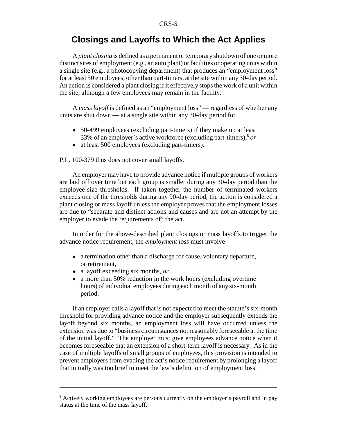## **Closings and Layoffs to Which the Act Applies**

A *plant closing* is defined as a permanent or temporary shutdown of one or more distinct sites of employment (e.g., an auto plant) or facilities or operating units within a single site (e.g., a photocopying department) that produces an "employment loss" for at least 50 employees, other than part-timers, at the site within any 30-day period. An action is considered a plant closing if it effectively stops the work of a unit within the site, although a few employees may remain in the facility.

A *mass layoff* is defined as an "employment loss" — regardless of whether any units are shut down — at a single site within any 30-day period for

- 50-499 employees (excluding part-timers) if they make up at least 33% of an employer's active workforce (excluding part-timers),8 *or*
- at least 500 employees (excluding part-timers).

P.L. 100-379 thus does not cover small layoffs.

An employer may have to provide advance notice if multiple groups of workers are laid off over time but each group is smaller during any 30-day period than the employee-size thresholds. If taken together the number of terminated workers exceeds one of the thresholds during any 90-day period, the action is considered a plant closing or mass layoff unless the employer proves that the employment losses are due to "separate and distinct actions and causes and are not an attempt by the employer to evade the requirements of" the act.

In order for the above-described plant closings or mass layoffs to trigger the advance notice requirement, the *employment loss* must involve

- a termination other than a discharge for cause, voluntary departure, or retirement,
- ! a layoff exceeding six months, *or*
- a more than 50% reduction in the work hours (excluding overtime hours) of individual employees during each month of any six-month period.

If an employer calls a layoff that is not expected to meet the statute's six-month threshold for providing advance notice and the employer subsequently extends the layoff beyond six months, an employment loss will have occurred unless the extension was due to "business circumstances not reasonably foreseeable at the time of the initial layoff." The employer must give employees advance notice when it becomes foreseeable that an extension of a short-term layoff is necessary. As in the case of multiple layoffs of small groups of employees, this provision is intended to prevent employers from evading the act's notice requirement by prolonging a layoff that initially was too brief to meet the law's definition of employment loss.

<sup>&</sup>lt;sup>8</sup> Actively working employees are persons currently on the employer's payroll and in pay status at the time of the mass layoff.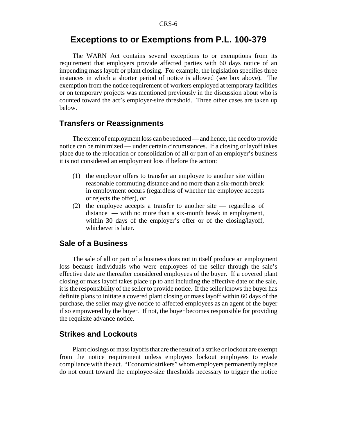## **Exceptions to or Exemptions from P.L. 100-379**

The WARN Act contains several exceptions to or exemptions from its requirement that employers provide affected parties with 60 days notice of an impending mass layoff or plant closing. For example, the legislation specifies three instances in which a shorter period of notice is allowed (see box above). The exemption from the notice requirement of workers employed at temporary facilities or on temporary projects was mentioned previously in the discussion about who is counted toward the act's employer-size threshold. Three other cases are taken up below.

### **Transfers or Reassignments**

The extent of employment loss can be reduced — and hence, the need to provide notice can be minimized — under certain circumstances. If a closing or layoff takes place due to the relocation or consolidation of all or part of an employer's business it is not considered an employment loss if before the action:

- (1) the employer offers to transfer an employee to another site within reasonable commuting distance and no more than a six-month break in employment occurs (regardless of whether the employee accepts or rejects the offer), *or*
- (2) the employee accepts a transfer to another site regardless of distance — with no more than a six-month break in employment, within 30 days of the employer's offer or of the closing/layoff, whichever is later.

### **Sale of a Business**

The sale of all or part of a business does not in itself produce an employment loss because individuals who were employees of the seller through the sale's effective date are thereafter considered employees of the buyer. If a covered plant closing or mass layoff takes place up to and including the effective date of the sale, it is the responsibility of the seller to provide notice. If the seller knows the buyer has definite plans to initiate a covered plant closing or mass layoff within 60 days of the purchase, the seller may give notice to affected employees as an agent of the buyer if so empowered by the buyer. If not, the buyer becomes responsible for providing the requisite advance notice.

## **Strikes and Lockouts**

Plant closings or mass layoffs that are the result of a strike or lockout are exempt from the notice requirement unless employers lockout employees to evade compliance with the act. "Economic strikers" whom employers permanently replace do not count toward the employee-size thresholds necessary to trigger the notice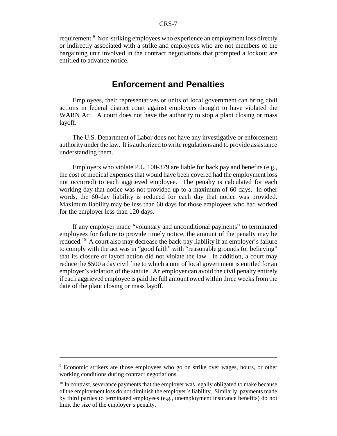requirement.<sup>9</sup> Non-striking employees who experience an employment loss directly or indirectly associated with a strike and employees who are not members of the bargaining unit involved in the contract negotiations that prompted a lockout are entitled to advance notice.

## **Enforcement and Penalties**

Employees, their representatives or units of local government can bring civil actions in federal district court against employers thought to have violated the WARN Act. A court does not have the authority to stop a plant closing or mass layoff.

The U.S. Department of Labor does not have any investigative or enforcement authority under the law. It is authorized to write regulations and to provide assistance understanding them.

Employers who violate P.L. 100-379 are liable for back pay and benefits (e.g., the cost of medical expenses that would have been covered had the employment loss not occurred) to each aggrieved employee. The penalty is calculated for each working day that notice was not provided up to a maximum of 60 days. In other words, the 60-day liability is reduced for each day that notice was provided. Maximum liability may be less than 60 days for those employees who had worked for the employer less than 120 days.

If any employer made "voluntary and unconditional payments" to terminated employees for failure to provide timely notice, the amount of the penalty may be reduced.10 A court also may decrease the back-pay liability if an employer's failure to comply with the act was in "good faith" with "reasonable grounds for believing" that its closure or layoff action did not violate the law. In addition, a court may reduce the \$500 a day civil fine to which a unit of local government is entitled for an employer's violation of the statute. An employer can avoid the civil penalty entirely if each aggrieved employee is paid the full amount owed within three weeks from the date of the plant closing or mass layoff.

<sup>&</sup>lt;sup>9</sup> Economic strikers are those employees who go on strike over wages, hours, or other working conditions during contract negotiations.

<sup>&</sup>lt;sup>10</sup> In contrast, severance payments that the employer was legally obligated to make because of the employment loss do not diminish the employer's liability. Similarly, payments made by third parties to terminated employees (e.g., unemployment insurance benefits) do not limit the size of the employer's penalty.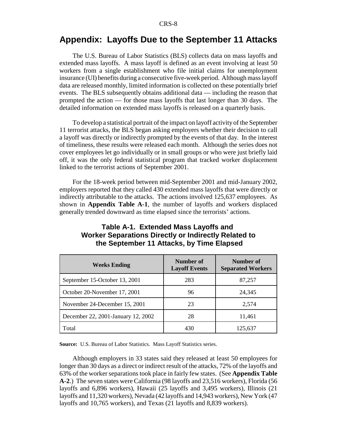## **Appendix: Layoffs Due to the September 11 Attacks**

The U.S. Bureau of Labor Statistics (BLS) collects data on mass layoffs and extended mass layoffs. A mass layoff is defined as an event involving at least 50 workers from a single establishment who file initial claims for unemployment insurance (UI) benefits during a consecutive five-week period. Although mass layoff data are released monthly, limited information is collected on these potentially brief events. The BLS subsequently obtains additional data — including the reason that prompted the action — for those mass layoffs that last longer than 30 days. The detailed information on extended mass layoffs is released on a quarterly basis.

To develop a statistical portrait of the impact on layoff activity of the September 11 terrorist attacks, the BLS began asking employers whether their decision to call a layoff was directly or indirectly prompted by the events of that day. In the interest of timeliness, these results were released each month. Although the series does not cover employees let go individually or in small groups or who were just briefly laid off, it was the only federal statistical program that tracked worker displacement linked to the terrorist actions of September 2001.

For the 18-week period between mid-September 2001 and mid-January 2002, employers reported that they called 430 extended mass layoffs that were directly or indirectly attributable to the attacks. The actions involved 125,637 employees. As shown in **Appendix Table A-1**, the number of layoffs and workers displaced generally trended downward as time elapsed since the terrorists' actions.

| <b>Weeks Ending</b>                | Number of<br><b>Layoff Events</b> | Number of<br><b>Separated Workers</b> |
|------------------------------------|-----------------------------------|---------------------------------------|
| September 15-October 13, 2001      | 283                               | 87,257                                |
| October 20-November 17, 2001       | 96                                | 24,345                                |
| November 24-December 15, 2001      | 23                                | 2,574                                 |
| December 22, 2001-January 12, 2002 | 28                                | 11,461                                |
| Total                              | 430                               | 125.637                               |

#### **Table A-1. Extended Mass Layoffs and Worker Separations Directly or Indirectly Related to the September 11 Attacks, by Time Elapsed**

**Source:** U.S. Bureau of Labor Statistics. Mass Layoff Statistics series.

Although employers in 33 states said they released at least 50 employees for longer than 30 days as a direct or indirect result of the attacks, 72% of the layoffs and 63% of the worker separations took place in fairly few states. (See **Appendix Table A-2**.) The seven states were California (98 layoffs and 23,516 workers), Florida (56 layoffs and 6,896 workers), Hawaii (25 layoffs and 3,495 workers), Illinois (21 layoffs and 11,320 workers), Nevada (42 layoffs and 14,943 workers), New York (47 layoffs and 10,765 workers), and Texas (21 layoffs and 8,839 workers).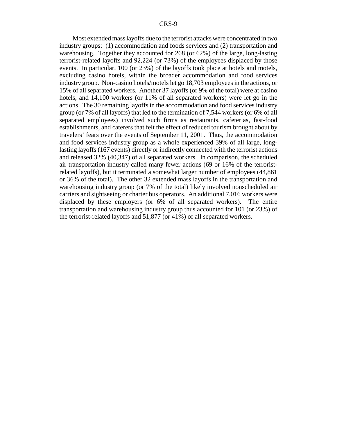Most extended mass layoffs due to the terrorist attacks were concentrated in two industry groups: (1) accommodation and foods services and (2) transportation and warehousing. Together they accounted for 268 (or 62%) of the large, long-lasting terrorist-related layoffs and 92,224 (or 73%) of the employees displaced by those events. In particular, 100 (or 23%) of the layoffs took place at hotels and motels, excluding casino hotels, within the broader accommodation and food services industry group. Non-casino hotels/motels let go 18,703 employees in the actions, or 15% of all separated workers. Another 37 layoffs (or 9% of the total) were at casino hotels, and 14,100 workers (or 11% of all separated workers) were let go in the actions. The 30 remaining layoffs in the accommodation and food services industry group (or 7% of all layoffs) that led to the termination of 7,544 workers (or 6% of all separated employees) involved such firms as restaurants, cafeterias, fast-food establishments, and caterers that felt the effect of reduced tourism brought about by travelers' fears over the events of September 11, 2001. Thus, the accommodation and food services industry group as a whole experienced 39% of all large, longlasting layoffs (167 events) directly or indirectly connected with the terrorist actions and released 32% (40,347) of all separated workers. In comparison, the scheduled air transportation industry called many fewer actions (69 or 16% of the terroristrelated layoffs), but it terminated a somewhat larger number of employees (44,861 or 36% of the total). The other 32 extended mass layoffs in the transportation and warehousing industry group (or 7% of the total) likely involved nonscheduled air carriers and sightseeing or charter bus operators. An additional 7,016 workers were displaced by these employers (or 6% of all separated workers). The entire transportation and warehousing industry group thus accounted for 101 (or 23%) of the terrorist-related layoffs and 51,877 (or 41%) of all separated workers.